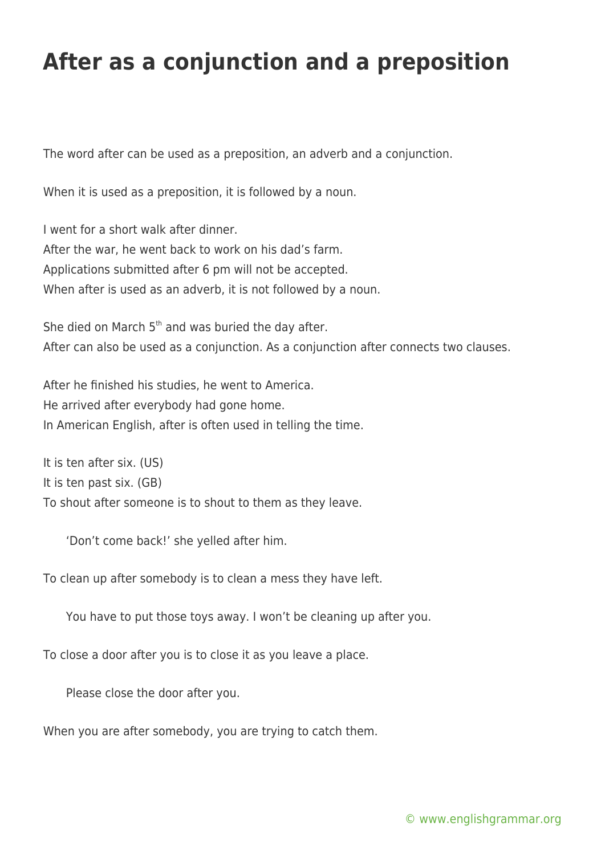## **After as a conjunction and a preposition**

The word after can be used as a preposition, an adverb and a conjunction.

When it is used as a preposition, it is followed by a noun.

I went for a short walk after dinner. After the war, he went back to work on his dad's farm. Applications submitted after 6 pm will not be accepted. When after is used as an adverb, it is not followed by a noun.

She died on March  $5<sup>th</sup>$  and was buried the day after. After can also be used as a conjunction. As a conjunction after connects two clauses.

After he finished his studies, he went to America. He arrived after everybody had gone home. In American English, after is often used in telling the time.

It is ten after six. (US) It is ten past six. (GB) To shout after someone is to shout to them as they leave.

'Don't come back!' she yelled after him.

To clean up after somebody is to clean a mess they have left.

You have to put those toys away. I won't be cleaning up after you.

To close a door after you is to close it as you leave a place.

Please close the door after you.

When you are after somebody, you are trying to catch them.